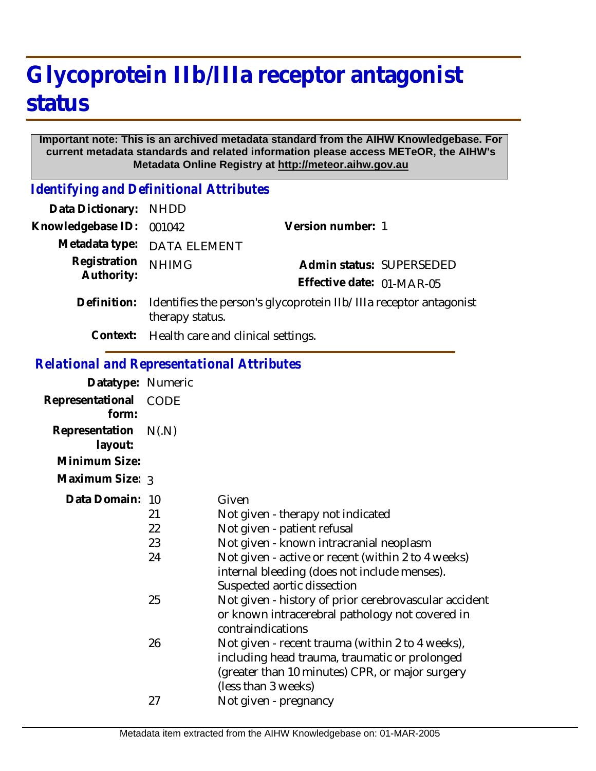## **Glycoprotein IIb/IIIa receptor antagonist status**

## **Important note: This is an archived metadata standard from the AIHW Knowledgebase. For current metadata standards and related information please access METeOR, the AIHW's Metadata Online Registry at http://meteor.aihw.gov.au**

*Identifying and Definitional Attributes*

| Data Dictionary: NHDD    |                                                                                                  |                           |                          |
|--------------------------|--------------------------------------------------------------------------------------------------|---------------------------|--------------------------|
| Knowledgebase ID: 001042 |                                                                                                  | Version number: 1         |                          |
|                          | Metadata type: DATA ELEMENT                                                                      |                           |                          |
| Registration             | <b>NHIMG</b>                                                                                     |                           | Admin status: SUPERSEDED |
| Authority:               |                                                                                                  | Effective date: 01-MAR-05 |                          |
|                          | Definition: Identifies the person's glycoprotein IIb/IIIa receptor antagonist<br>therapy status. |                           |                          |
|                          | Context: Health care and clinical settings.                                                      |                           |                          |

## *Relational and Representational Attributes*

| Datatype: Numeric<br>Representational<br>form:<br>Representation<br>layout: | CODE<br>N(N)               |                                                                                                                                                                                                                                                                                                                                                                       |
|-----------------------------------------------------------------------------|----------------------------|-----------------------------------------------------------------------------------------------------------------------------------------------------------------------------------------------------------------------------------------------------------------------------------------------------------------------------------------------------------------------|
| Minimum Size:                                                               |                            |                                                                                                                                                                                                                                                                                                                                                                       |
| Maximum Size: 3                                                             |                            |                                                                                                                                                                                                                                                                                                                                                                       |
| Data Domain: 10                                                             | 21<br>22<br>23<br>24<br>25 | Given<br>Not given - therapy not indicated<br>Not given - patient refusal<br>Not given - known intracranial neoplasm<br>Not given - active or recent (within 2 to 4 weeks)<br>internal bleeding (does not include menses).<br>Suspected aortic dissection<br>Not given - history of prior cerebrovascular accident<br>or known intracerebral pathology not covered in |
|                                                                             | 26<br>27                   | contraindications<br>Not given - recent trauma (within 2 to 4 weeks),<br>including head trauma, traumatic or prolonged<br>(greater than 10 minutes) CPR, or major surgery<br>(less than 3 weeks)<br>Not given - pregnancy                                                                                                                                             |